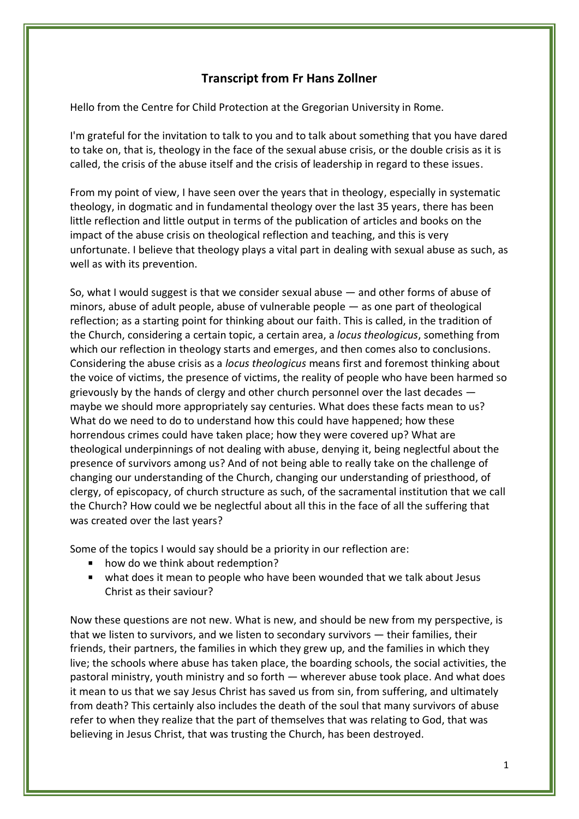## **Transcript from Fr Hans Zollner**

Hello from the Centre for Child Protection at the Gregorian University in Rome.

I'm grateful for the invitation to talk to you and to talk about something that you have dared to take on, that is, theology in the face of the sexual abuse crisis, or the double crisis as it is called, the crisis of the abuse itself and the crisis of leadership in regard to these issues.

From my point of view, I have seen over the years that in theology, especially in systematic theology, in dogmatic and in fundamental theology over the last 35 years, there has been little reflection and little output in terms of the publication of articles and books on the impact of the abuse crisis on theological reflection and teaching, and this is very unfortunate. I believe that theology plays a vital part in dealing with sexual abuse as such, as well as with its prevention.

So, what I would suggest is that we consider sexual abuse — and other forms of abuse of minors, abuse of adult people, abuse of vulnerable people — as one part of theological reflection; as a starting point for thinking about our faith. This is called, in the tradition of the Church, considering a certain topic, a certain area, a *locus theologicus*, something from which our reflection in theology starts and emerges, and then comes also to conclusions. Considering the abuse crisis as a *locus theologicus* means first and foremost thinking about the voice of victims, the presence of victims, the reality of people who have been harmed so grievously by the hands of clergy and other church personnel over the last decades maybe we should more appropriately say centuries. What does these facts mean to us? What do we need to do to understand how this could have happened; how these horrendous crimes could have taken place; how they were covered up? What are theological underpinnings of not dealing with abuse, denying it, being neglectful about the presence of survivors among us? And of not being able to really take on the challenge of changing our understanding of the Church, changing our understanding of priesthood, of clergy, of episcopacy, of church structure as such, of the sacramental institution that we call the Church? How could we be neglectful about all this in the face of all the suffering that was created over the last years?

Some of the topics I would say should be a priority in our reflection are:

- $\mathbf{u}$  . how do we think about redemption?
- what does it mean to people who have been wounded that we talk about Jesus Christ as their saviour?

Now these questions are not new. What is new, and should be new from my perspective, is that we listen to survivors, and we listen to secondary survivors — their families, their friends, their partners, the families in which they grew up, and the families in which they live; the schools where abuse has taken place, the boarding schools, the social activities, the pastoral ministry, youth ministry and so forth — wherever abuse took place. And what does it mean to us that we say Jesus Christ has saved us from sin, from suffering, and ultimately from death? This certainly also includes the death of the soul that many survivors of abuse refer to when they realize that the part of themselves that was relating to God, that was believing in Jesus Christ, that was trusting the Church, has been destroyed.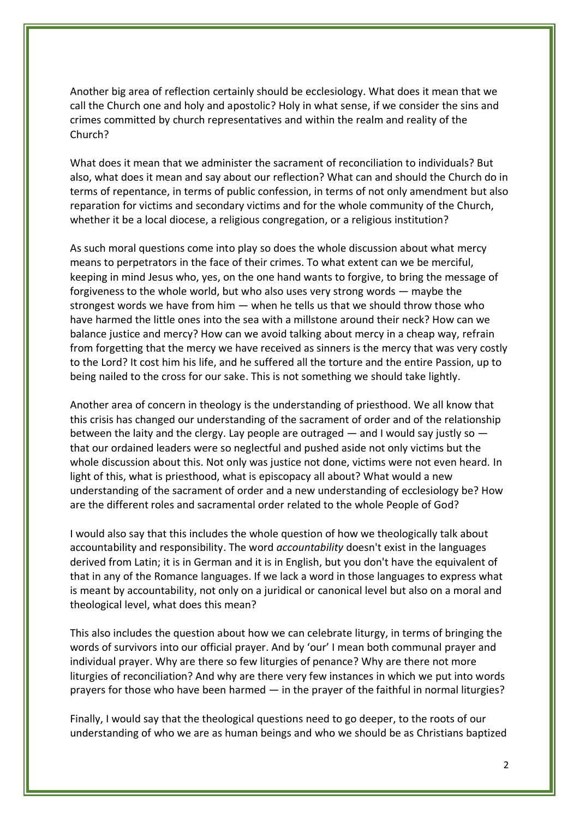Another big area of reflection certainly should be ecclesiology. What does it mean that we call the Church one and holy and apostolic? Holy in what sense, if we consider the sins and crimes committed by church representatives and within the realm and reality of the Church?

What does it mean that we administer the sacrament of reconciliation to individuals? But also, what does it mean and say about our reflection? What can and should the Church do in terms of repentance, in terms of public confession, in terms of not only amendment but also reparation for victims and secondary victims and for the whole community of the Church, whether it be a local diocese, a religious congregation, or a religious institution?

As such moral questions come into play so does the whole discussion about what mercy means to perpetrators in the face of their crimes. To what extent can we be merciful, keeping in mind Jesus who, yes, on the one hand wants to forgive, to bring the message of forgiveness to the whole world, but who also uses very strong words — maybe the strongest words we have from him — when he tells us that we should throw those who have harmed the little ones into the sea with a millstone around their neck? How can we balance justice and mercy? How can we avoid talking about mercy in a cheap way, refrain from forgetting that the mercy we have received as sinners is the mercy that was very costly to the Lord? It cost him his life, and he suffered all the torture and the entire Passion, up to being nailed to the cross for our sake. This is not something we should take lightly.

Another area of concern in theology is the understanding of priesthood. We all know that this crisis has changed our understanding of the sacrament of order and of the relationship between the laity and the clergy. Lay people are outraged — and I would say justly so that our ordained leaders were so neglectful and pushed aside not only victims but the whole discussion about this. Not only was justice not done, victims were not even heard. In light of this, what is priesthood, what is episcopacy all about? What would a new understanding of the sacrament of order and a new understanding of ecclesiology be? How are the different roles and sacramental order related to the whole People of God?

I would also say that this includes the whole question of how we theologically talk about accountability and responsibility. The word *accountability* doesn't exist in the languages derived from Latin; it is in German and it is in English, but you don't have the equivalent of that in any of the Romance languages. If we lack a word in those languages to express what is meant by accountability, not only on a juridical or canonical level but also on a moral and theological level, what does this mean?

This also includes the question about how we can celebrate liturgy, in terms of bringing the words of survivors into our official prayer. And by 'our' I mean both communal prayer and individual prayer. Why are there so few liturgies of penance? Why are there not more liturgies of reconciliation? And why are there very few instances in which we put into words prayers for those who have been harmed — in the prayer of the faithful in normal liturgies?

Finally, I would say that the theological questions need to go deeper, to the roots of our understanding of who we are as human beings and who we should be as Christians baptized